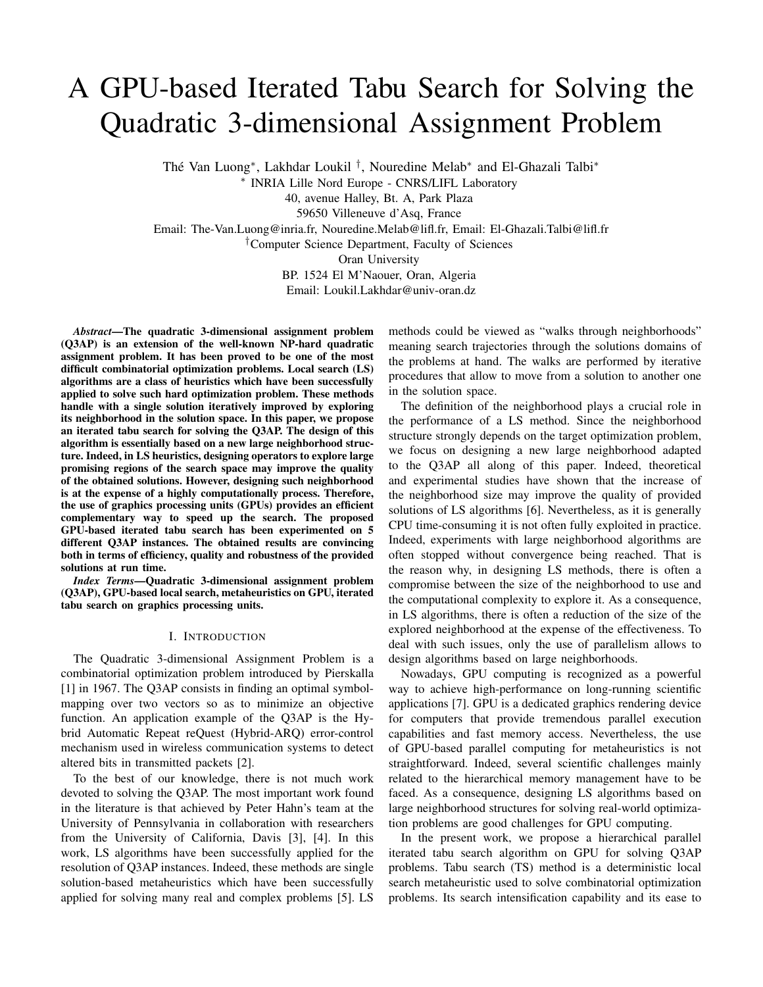# A GPU-based Iterated Tabu Search for Solving the Quadratic 3-dimensional Assignment Problem

Thé Van Luong\*, Lakhdar Loukil<sup>†</sup>, Nouredine Melab<sup>\*</sup> and El-Ghazali Talbi<sup>\*</sup>

∗ INRIA Lille Nord Europe - CNRS/LIFL Laboratory

40, avenue Halley, Bt. A, Park Plaza

59650 Villeneuve d'Asq, France

Email: The-Van.Luong@inria.fr, Nouredine.Melab@lifl.fr, Email: El-Ghazali.Talbi@lifl.fr

†Computer Science Department, Faculty of Sciences

Oran University

BP. 1524 El M'Naouer, Oran, Algeria

Email: Loukil.Lakhdar@univ-oran.dz

*Abstract*—The quadratic 3-dimensional assignment problem (Q3AP) is an extension of the well-known NP-hard quadratic assignment problem. It has been proved to be one of the most difficult combinatorial optimization problems. Local search (LS) algorithms are a class of heuristics which have been successfully applied to solve such hard optimization problem. These methods handle with a single solution iteratively improved by exploring its neighborhood in the solution space. In this paper, we propose an iterated tabu search for solving the Q3AP. The design of this algorithm is essentially based on a new large neighborhood structure. Indeed, in LS heuristics, designing operators to explore large promising regions of the search space may improve the quality of the obtained solutions. However, designing such neighborhood is at the expense of a highly computationally process. Therefore, the use of graphics processing units (GPUs) provides an efficient complementary way to speed up the search. The proposed GPU-based iterated tabu search has been experimented on 5 different Q3AP instances. The obtained results are convincing both in terms of efficiency, quality and robustness of the provided solutions at run time.

*Index Terms*—Quadratic 3-dimensional assignment problem (Q3AP), GPU-based local search, metaheuristics on GPU, iterated tabu search on graphics processing units.

## I. INTRODUCTION

The Quadratic 3-dimensional Assignment Problem is a combinatorial optimization problem introduced by Pierskalla [1] in 1967. The Q3AP consists in finding an optimal symbolmapping over two vectors so as to minimize an objective function. An application example of the Q3AP is the Hybrid Automatic Repeat reQuest (Hybrid-ARQ) error-control mechanism used in wireless communication systems to detect altered bits in transmitted packets [2].

To the best of our knowledge, there is not much work devoted to solving the Q3AP. The most important work found in the literature is that achieved by Peter Hahn's team at the University of Pennsylvania in collaboration with researchers from the University of California, Davis [3], [4]. In this work, LS algorithms have been successfully applied for the resolution of Q3AP instances. Indeed, these methods are single solution-based metaheuristics which have been successfully applied for solving many real and complex problems [5]. LS

methods could be viewed as "walks through neighborhoods" meaning search trajectories through the solutions domains of the problems at hand. The walks are performed by iterative procedures that allow to move from a solution to another one in the solution space.

The definition of the neighborhood plays a crucial role in the performance of a LS method. Since the neighborhood structure strongly depends on the target optimization problem, we focus on designing a new large neighborhood adapted to the Q3AP all along of this paper. Indeed, theoretical and experimental studies have shown that the increase of the neighborhood size may improve the quality of provided solutions of LS algorithms [6]. Nevertheless, as it is generally CPU time-consuming it is not often fully exploited in practice. Indeed, experiments with large neighborhood algorithms are often stopped without convergence being reached. That is the reason why, in designing LS methods, there is often a compromise between the size of the neighborhood to use and the computational complexity to explore it. As a consequence, in LS algorithms, there is often a reduction of the size of the explored neighborhood at the expense of the effectiveness. To deal with such issues, only the use of parallelism allows to design algorithms based on large neighborhoods.

Nowadays, GPU computing is recognized as a powerful way to achieve high-performance on long-running scientific applications [7]. GPU is a dedicated graphics rendering device for computers that provide tremendous parallel execution capabilities and fast memory access. Nevertheless, the use of GPU-based parallel computing for metaheuristics is not straightforward. Indeed, several scientific challenges mainly related to the hierarchical memory management have to be faced. As a consequence, designing LS algorithms based on large neighborhood structures for solving real-world optimization problems are good challenges for GPU computing.

In the present work, we propose a hierarchical parallel iterated tabu search algorithm on GPU for solving Q3AP problems. Tabu search (TS) method is a deterministic local search metaheuristic used to solve combinatorial optimization problems. Its search intensification capability and its ease to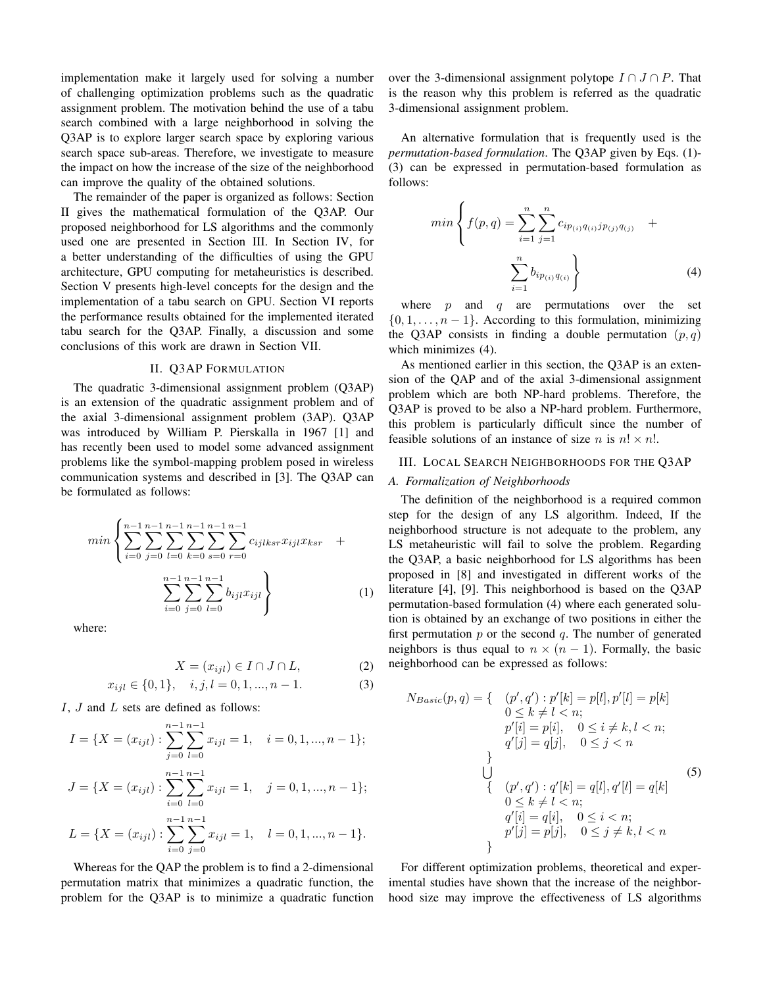implementation make it largely used for solving a number of challenging optimization problems such as the quadratic assignment problem. The motivation behind the use of a tabu search combined with a large neighborhood in solving the Q3AP is to explore larger search space by exploring various search space sub-areas. Therefore, we investigate to measure the impact on how the increase of the size of the neighborhood can improve the quality of the obtained solutions.

The remainder of the paper is organized as follows: Section II gives the mathematical formulation of the Q3AP. Our proposed neighborhood for LS algorithms and the commonly used one are presented in Section III. In Section IV, for a better understanding of the difficulties of using the GPU architecture, GPU computing for metaheuristics is described. Section V presents high-level concepts for the design and the implementation of a tabu search on GPU. Section VI reports the performance results obtained for the implemented iterated tabu search for the Q3AP. Finally, a discussion and some conclusions of this work are drawn in Section VII.

## II. Q3AP FORMULATION

The quadratic 3-dimensional assignment problem (Q3AP) is an extension of the quadratic assignment problem and of the axial 3-dimensional assignment problem (3AP). Q3AP was introduced by William P. Pierskalla in 1967 [1] and has recently been used to model some advanced assignment problems like the symbol-mapping problem posed in wireless communication systems and described in [3]. The Q3AP can be formulated as follows:

$$
\min \left\{ \sum_{i=0}^{n-1} \sum_{j=0}^{n-1} \sum_{l=0}^{n-1} \sum_{k=0}^{n-1} \sum_{s=0}^{n-1} \sum_{r=0}^{n-1} c_{ijlksr} x_{ijl} x_{ksr} + \sum_{i=0}^{n-1} \sum_{j=0}^{n-1} \sum_{l=0}^{n-1} b_{ijl} x_{ijl} \right\}
$$
(1)

where:

$$
X = (x_{ijl}) \in I \cap J \cap L,\tag{2}
$$

$$
x_{ijl} \in \{0, 1\}, \quad i, j, l = 0, 1, ..., n - 1.
$$
 (3)

I, J and L sets are defined as follows:

$$
I = \{X = (x_{ijl}) : \sum_{j=0}^{n-1} \sum_{l=0}^{n-1} x_{ijl} = 1, \quad i = 0, 1, ..., n-1\};
$$
  
\n
$$
J = \{X = (x_{ijl}) : \sum_{i=0}^{n-1} \sum_{l=0}^{n-1} x_{ijl} = 1, \quad j = 0, 1, ..., n-1\};
$$
  
\n
$$
L = \{X = (x_{ijl}) : \sum_{i=0}^{n-1} \sum_{j=0}^{n-1} x_{ijl} = 1, \quad l = 0, 1, ..., n-1\}.
$$

Whereas for the QAP the problem is to find a 2-dimensional permutation matrix that minimizes a quadratic function, the problem for the Q3AP is to minimize a quadratic function over the 3-dimensional assignment polytope  $I \cap J \cap P$ . That is the reason why this problem is referred as the quadratic 3-dimensional assignment problem.

An alternative formulation that is frequently used is the *permutation-based formulation*. The Q3AP given by Eqs. (1)- (3) can be expressed in permutation-based formulation as follows:

$$
min\left\{f(p,q) = \sum_{i=1}^{n} \sum_{j=1}^{n} c_{ip_{(i)}q_{(i)}jp_{(j)}q_{(j)}} + \sum_{i=1}^{n} b_{ip_{(i)}q_{(i)}}\right\}
$$
(4)

where  $p$  and  $q$  are permutations over the set  $\{0, 1, \ldots, n-1\}$ . According to this formulation, minimizing the Q3AP consists in finding a double permutation  $(p, q)$ which minimizes (4).

As mentioned earlier in this section, the Q3AP is an extension of the QAP and of the axial 3-dimensional assignment problem which are both NP-hard problems. Therefore, the Q3AP is proved to be also a NP-hard problem. Furthermore, this problem is particularly difficult since the number of feasible solutions of an instance of size n is  $n! \times n!$ .

#### III. LOCAL SEARCH NEIGHBORHOODS FOR THE Q3AP

## *A. Formalization of Neighborhoods*

The definition of the neighborhood is a required common step for the design of any LS algorithm. Indeed, If the neighborhood structure is not adequate to the problem, any LS metaheuristic will fail to solve the problem. Regarding the Q3AP, a basic neighborhood for LS algorithms has been proposed in [8] and investigated in different works of the literature [4], [9]. This neighborhood is based on the Q3AP permutation-based formulation (4) where each generated solution is obtained by an exchange of two positions in either the first permutation  $p$  or the second  $q$ . The number of generated neighbors is thus equal to  $n \times (n - 1)$ . Formally, the basic neighborhood can be expressed as follows:

$$
N_{Basic}(p, q) = \{ (p', q') : p'[k] = p[l], p'[l] = p[k] 0 \le k \ne l < n; p'[i] = p[i], \quad 0 \le i \ne k, l < n; q'[j] = q[j], \quad 0 \le j < n \} \n\cup \n\{ (p', q') : q'[k] = q[l], q'[l] = q[k] 0 \le k \ne l < n; q'[i] = q[i], \quad 0 \le i < n; p'[j] = p[j], \quad 0 \le j \ne k, l < n
$$

For different optimization problems, theoretical and experimental studies have shown that the increase of the neighborhood size may improve the effectiveness of LS algorithms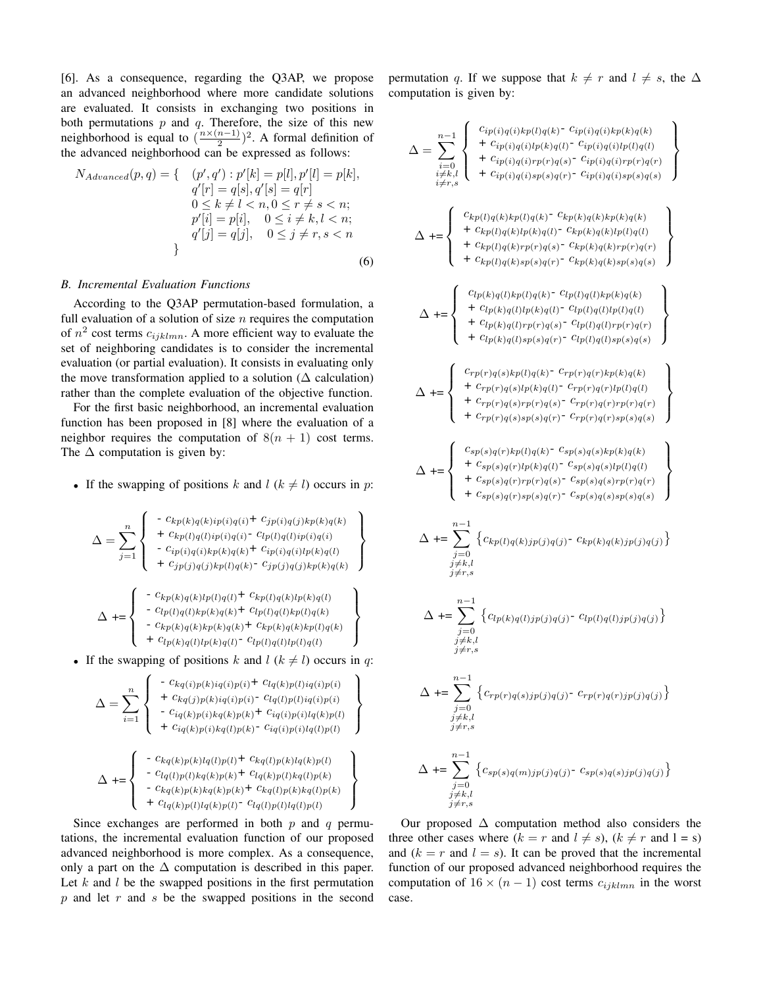[6]. As a consequence, regarding the Q3AP, we propose an advanced neighborhood where more candidate solutions are evaluated. It consists in exchanging two positions in both permutations  $p$  and  $q$ . Therefore, the size of this new neighborhood is equal to  $\left(\frac{n \times (n-1)}{2}\right)$  $\frac{n-1}{2}$ <sup>2</sup>. A formal definition of the advanced neighborhood can be expressed as follows:

$$
N_{Advanced}(p,q) = \{ \begin{array}{c} (p',q') : p'[k] = p[l], p'[l] = p[k], \\ q'[r] = q[s], q'[s] = q[r] \\ 0 \le k \ne l < n, 0 \le r \ne s < n; \\ p'[i] = p[i], \quad 0 \le i \ne k, l < n; \\ q'[j] = q[j], \quad 0 \le j \ne r, s < n \end{array} \}
$$
\n
$$
\tag{6}
$$

#### *B. Incremental Evaluation Functions*

According to the Q3AP permutation-based formulation, a full evaluation of a solution of size  $n$  requires the computation of  $n^2$  cost terms  $c_{ijklmn}$ . A more efficient way to evaluate the set of neighboring candidates is to consider the incremental evaluation (or partial evaluation). It consists in evaluating only the move transformation applied to a solution ( $\Delta$  calculation) rather than the complete evaluation of the objective function.

For the first basic neighborhood, an incremental evaluation function has been proposed in [8] where the evaluation of a neighbor requires the computation of  $8(n + 1)$  cost terms. The  $\Delta$  computation is given by:

• If the swapping of positions k and  $l$  ( $k \neq l$ ) occurs in p:

$$
\Delta = \sum_{j=1}^{n} \begin{cases}\n\begin{aligned}\n& \begin{aligned}\n& - c_{kp}(k)q(k)ip(i)q(i) + c_{jp}(i)q(j)kp(k)q(k) \\
& + c_{kp}(l)q(l)ip(i)q(i) - c_{lp}(l)q(l)ip(k)q(i) \\
& - c_{ip}(i)q(i)kp(k)q(k) + c_{ip}(i)q(i)lp(k)q(l) \\
& + c_{jp}(j)q(j)kp(l)q(k) - c_{jp}(j)q(j)kp(k)q(k)\n\end{aligned}\n\end{cases}
$$
\n
$$
\Delta + = \begin{cases}\n& \begin{aligned}\n& - c_{kp}(k)q(k)lp(l)q(l) + c_{kp}(l)q(k)lp(k)q(l) \\
& - c_{lp}(l)q(l)kp(k)q(k) + c_{lp}(l)q(l)kp(l)q(k) \\
& - c_{kp}(k)q(k)kp(k)q(k) + c_{kp}(k)q(k)kp(l)q(k) \\
& + c_{lp}(k)q(l)lp(k)q(l) - c_{lp}(l)q(l)lp(l)q(l)\n\end{aligned}\n\end{cases}
$$
\n**If the swapping of positions**  $k$  and  $l$  ( $k \neq l$ ) occurs in  $q$ :\n
$$
\Delta = \sum_{i=1}^{n} \begin{cases}\n& - c_{kq}(i)p(k)iq(i)p(i) + c_{lq}(k)p(l)iq(i)p(i) \\
& + c_{iq}(i)p(k)iq(i)p(k) + c_{iq}(i)p(i)lq(i)p(l) \\
& - c_{iq}(k)p(i)kq(l)p(k) + c_{iq}(i)p(i)lq(l)p(l) \\
& + c_{lq}(k)p(k)lq(l)p(l) + c_{kq}(l)p(k)lq(k)p(l) \\
& - c_{kq}(k)p(k)lq(k)p(k) + c_{lq}(l)p(k)kq(l)p(k) \\
& - c_{kq}(k)p(k)kq(k)p(k) + c_{lq}(l)p(k)kq(l)p(k) \\
& - c_{lq}(l)p(l)lq(k)p(l) - c_{lq}(l)p(l)lq(l)p(l) \\
& + c_{lq}(k)p(l)lq(k)p(l) - c_{lq}(l)p(l)lq(l)p(l)\n\end{aligned}\n\end{cases}
$$

Since exchanges are performed in both  $p$  and  $q$  permutations, the incremental evaluation function of our proposed advanced neighborhood is more complex. As a consequence, only a part on the  $\Delta$  computation is described in this paper. Let  $k$  and  $l$  be the swapped positions in the first permutation  $p$  and let  $r$  and  $s$  be the swapped positions in the second permutation q. If we suppose that  $k \neq r$  and  $l \neq s$ , the  $\Delta$ computation is given by:

$$
\begin{split} \Delta &= \sum_{\substack{i=0 \\ i \neq j}}^{n-1} \left\{ \begin{array}{l} c_{ip(i)q(i)kp(l)q(k)} - c_{ip(i)q(i)kp(k)q(k)} \\ + c_{ip(i)q(i)p(k)q(l)} - c_{ip(i)q(i)lp(l)q(l)} \\ + c_{ip(i)q(i)p(p(q(s))} - c_{ip(i)q(i)pp(r)q(q)} \\ + c_{ip(i)q(i)sp(s)q(r)} - c_{ip(i)q(i)sp(s)q(s)} \end{array} \right\} \\ & \Delta + \epsilon \left\{ \begin{array}{l} c_{kp(l)}(kkp(l)q(k) - c_{kp(k)q(k)kp(k)q(k)} \\ + c_{kp(l)q(k)p(k)q(l)} - c_{kp(k)q(k)kp(k)q(k)} \\ + c_{kp(l)q(k)p(p(s)q(r)} - c_{kp(k)q(k)pp(s)q(s)} \\ + c_{kp(l)q(k)sp(s)q(r)} - c_{kp(k)q(k)pp(s)q(s)} \end{array} \right\} \\ & \Delta + \epsilon \left\{ \begin{array}{l} c_{lp(k)q(l)kp(l)q(k)} - c_{lp(k)q(k)kp(k)q(k)} \\ + c_{lp(k)q(l)kp(l)q(k)} - c_{lp(l)q(l)kp(k)q(l)} \\ + c_{lp(k)q(l)lp(p(s)q(r)} - c_{lp(l)q(l)kp(s)q(s)} \\ + c_{lp(k)q(l)sp(s)q(r)} - c_{lp(l)q(l)sp(s)q(s)} \end{array} \right\} \\ & \Delta + \epsilon \left\{ \begin{array}{l} c_{rp(r)q(s)kp(l)q(k)} - c_{rp(r)q(r)kp(k)q(k)} \\ + c_{rp(r)q(s)kp(l)q(k)} - c_{rp(r)q(r)kp(k)q(k)} \\ + c_{rp(r)q(s)pp(p(s)q(r)} - c_{rp(r)q(r)pp(s)q(s)} \\ + c_{rp(s)q(r)pp(p(s)q(r)} - c_{sp(s)q(s)pp(s)q(s)} \end{array} \right\} \\ & \Delta + \epsilon \left\{ \begin{array}{l} c_{sp(s)q(r)kp(l)q(l)} - c_{sp(s)q(s)kp(k)q(k)} \\ + c_{sp(s)q(r)pp(p(s)q(s)} - c_{sp(s)q(s)pp(s)q(s)} \\ + c_{sp(s)q(r)pp(p(s)q(s)} - c_{sp(s)q(s)pp(s)q(s)} \end{array} \right\} \\ & \Delta + \epsilon \sum_{j=0}^{n-1} \left\{
$$

Our proposed  $\Delta$  computation method also considers the three other cases where  $(k = r$  and  $l \neq s$ ),  $(k \neq r$  and  $l = s$ ) and  $(k = r$  and  $l = s)$ . It can be proved that the incremental function of our proposed advanced neighborhood requires the computation of  $16 \times (n-1)$  cost terms  $c_{ijklmn}$  in the worst case.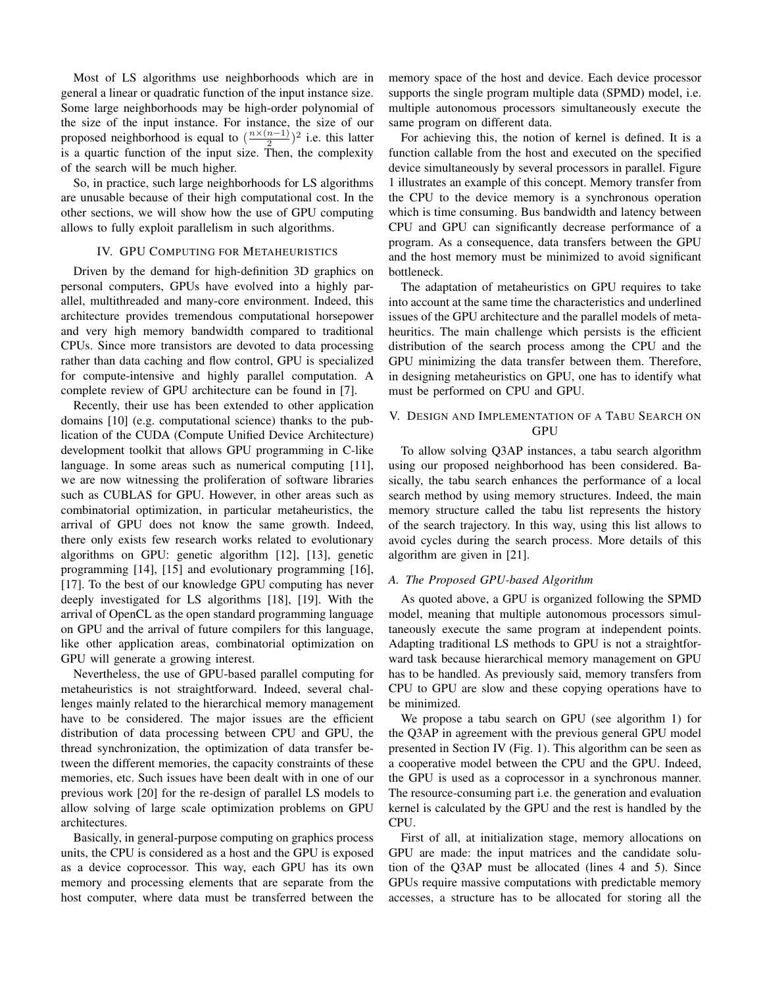Most of LS algorithms use neighborhoods which are in general a linear or quadratic function of the input instance size. Some large neighborhoods may be high-order polynomial of the size of the input instance. For instance, the size of our proposed neighborhood is equal to  $\left(\frac{n \times (n-1)}{2}\right)$  $\frac{n-1}{2}$ )<sup>2</sup> i.e. this latter is a quartic function of the input size. Then, the complexity of the search will be much higher.

So, in practice, such large neighborhoods for LS algorithms are unusable because of their high computational cost. In the other sections, we will show how the use of GPU computing allows to fully exploit parallelism in such algorithms.

# IV. GPU COMPUTING FOR METAHEURISTICS

Driven by the demand for high-definition 3D graphics on personal computers, GPUs have evolved into a highly parallel, multithreaded and many-core environment. Indeed, this architecture provides tremendous computational horsepower and very high memory bandwidth compared to traditional CPUs. Since more transistors are devoted to data processing rather than data caching and flow control, GPU is specialized for compute-intensive and highly parallel computation. A complete review of GPU architecture can be found in [7].

Recently, their use has been extended to other application domains [10] (e.g. computational science) thanks to the publication of the CUDA (Compute Unified Device Architecture) development toolkit that allows GPU programming in C-like language. In some areas such as numerical computing [11], we are now witnessing the proliferation of software libraries such as CUBLAS for GPU. However, in other areas such as combinatorial optimization, in particular metaheuristics, the arrival of GPU does not know the same growth. Indeed, there only exists few research works related to evolutionary algorithms on GPU: genetic algorithm [12], [13], genetic programming [14], [15] and evolutionary programming [16], [17]. To the best of our knowledge GPU computing has never deeply investigated for LS algorithms [18], [19]. With the arrival of OpenCL as the open standard programming language on GPU and the arrival of future compilers for this language, like other application areas, combinatorial optimization on GPU will generate a growing interest.

Nevertheless, the use of GPU-based parallel computing for metaheuristics is not straightforward. Indeed, several challenges mainly related to the hierarchical memory management have to be considered. The major issues are the efficient distribution of data processing between CPU and GPU, the thread synchronization, the optimization of data transfer between the different memories, the capacity constraints of these memories, etc. Such issues have been dealt with in one of our previous work [20] for the re-design of parallel LS models to allow solving of large scale optimization problems on GPU architectures.

Basically, in general-purpose computing on graphics process units, the CPU is considered as a host and the GPU is exposed as a device coprocessor. This way, each GPU has its own memory and processing elements that are separate from the host computer, where data must be transferred between the memory space of the host and device. Each device processor supports the single program multiple data (SPMD) model, i.e. multiple autonomous processors simultaneously execute the same program on different data.

For achieving this, the notion of kernel is defined. It is a function callable from the host and executed on the specified device simultaneously by several processors in parallel. Figure 1 illustrates an example of this concept. Memory transfer from the CPU to the device memory is a synchronous operation which is time consuming. Bus bandwidth and latency between CPU and GPU can significantly decrease performance of a program. As a consequence, data transfers between the GPU and the host memory must be minimized to avoid significant bottleneck.

The adaptation of metaheuristics on GPU requires to take into account at the same time the characteristics and underlined issues of the GPU architecture and the parallel models of metaheuritics. The main challenge which persists is the efficient distribution of the search process among the CPU and the GPU minimizing the data transfer between them. Therefore, in designing metaheuristics on GPU, one has to identify what must be performed on CPU and GPU.

# V. DESIGN AND IMPLEMENTATION OF A TABU SEARCH ON GPU

To allow solving Q3AP instances, a tabu search algorithm using our proposed neighborhood has been considered. Basically, the tabu search enhances the performance of a local search method by using memory structures. Indeed, the main memory structure called the tabu list represents the history of the search trajectory. In this way, using this list allows to avoid cycles during the search process. More details of this algorithm are given in [21].

# *A. The Proposed GPU-based Algorithm*

As quoted above, a GPU is organized following the SPMD model, meaning that multiple autonomous processors simultaneously execute the same program at independent points. Adapting traditional LS methods to GPU is not a straightforward task because hierarchical memory management on GPU has to be handled. As previously said, memory transfers from CPU to GPU are slow and these copying operations have to be minimized.

We propose a tabu search on GPU (see algorithm 1) for the Q3AP in agreement with the previous general GPU model presented in Section IV (Fig. 1). This algorithm can be seen as a cooperative model between the CPU and the GPU. Indeed, the GPU is used as a coprocessor in a synchronous manner. The resource-consuming part i.e. the generation and evaluation kernel is calculated by the GPU and the rest is handled by the CPU.

First of all, at initialization stage, memory allocations on GPU are made: the input matrices and the candidate solution of the Q3AP must be allocated (lines 4 and 5). Since GPUs require massive computations with predictable memory accesses, a structure has to be allocated for storing all the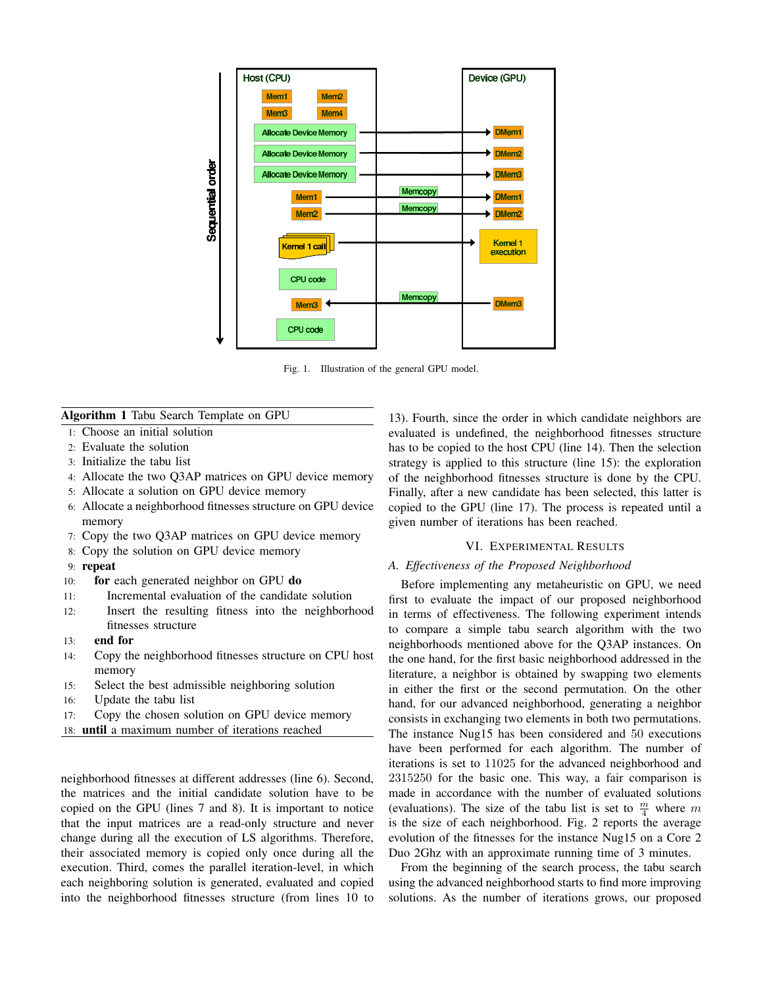

Fig. 1. Illustration of the general GPU model.

## Algorithm 1 Tabu Search Template on GPU

- 1: Choose an initial solution
- 2: Evaluate the solution
- 3: Initialize the tabu list
- 4: Allocate the two Q3AP matrices on GPU device memory
- 5: Allocate a solution on GPU device memory
- 6: Allocate a neighborhood fitnesses structure on GPU device memory
- 7: Copy the two Q3AP matrices on GPU device memory
- 8: Copy the solution on GPU device memory
- 9: repeat
- 10: for each generated neighbor on GPU do
- 11: Incremental evaluation of the candidate solution
- 12: Insert the resulting fitness into the neighborhood fitnesses structure
- 13: end for
- 14: Copy the neighborhood fitnesses structure on CPU host memory
- 15: Select the best admissible neighboring solution
- 16: Update the tabu list
- 17: Copy the chosen solution on GPU device memory
- 18: until a maximum number of iterations reached

neighborhood fitnesses at different addresses (line 6). Second, the matrices and the initial candidate solution have to be copied on the GPU (lines 7 and 8). It is important to notice that the input matrices are a read-only structure and never change during all the execution of LS algorithms. Therefore, their associated memory is copied only once during all the execution. Third, comes the parallel iteration-level, in which each neighboring solution is generated, evaluated and copied into the neighborhood fitnesses structure (from lines 10 to

13). Fourth, since the order in which candidate neighbors are evaluated is undefined, the neighborhood fitnesses structure has to be copied to the host CPU (line 14). Then the selection strategy is applied to this structure (line 15): the exploration of the neighborhood fitnesses structure is done by the CPU. Finally, after a new candidate has been selected, this latter is copied to the GPU (line 17). The process is repeated until a given number of iterations has been reached.

# VI. EXPERIMENTAL RESULTS

#### *A. Effectiveness of the Proposed Neighborhood*

Before implementing any metaheuristic on GPU, we need first to evaluate the impact of our proposed neighborhood in terms of effectiveness. The following experiment intends to compare a simple tabu search algorithm with the two neighborhoods mentioned above for the Q3AP instances. On the one hand, for the first basic neighborhood addressed in the literature, a neighbor is obtained by swapping two elements in either the first or the second permutation. On the other hand, for our advanced neighborhood, generating a neighbor consists in exchanging two elements in both two permutations. The instance Nug15 has been considered and 50 executions have been performed for each algorithm. The number of iterations is set to 11025 for the advanced neighborhood and 2315250 for the basic one. This way, a fair comparison is made in accordance with the number of evaluated solutions (evaluations). The size of the tabu list is set to  $\frac{m}{4}$  where m is the size of each neighborhood. Fig. 2 reports the average evolution of the fitnesses for the instance Nug15 on a Core 2 Duo 2Ghz with an approximate running time of 3 minutes.

From the beginning of the search process, the tabu search using the advanced neighborhood starts to find more improving solutions. As the number of iterations grows, our proposed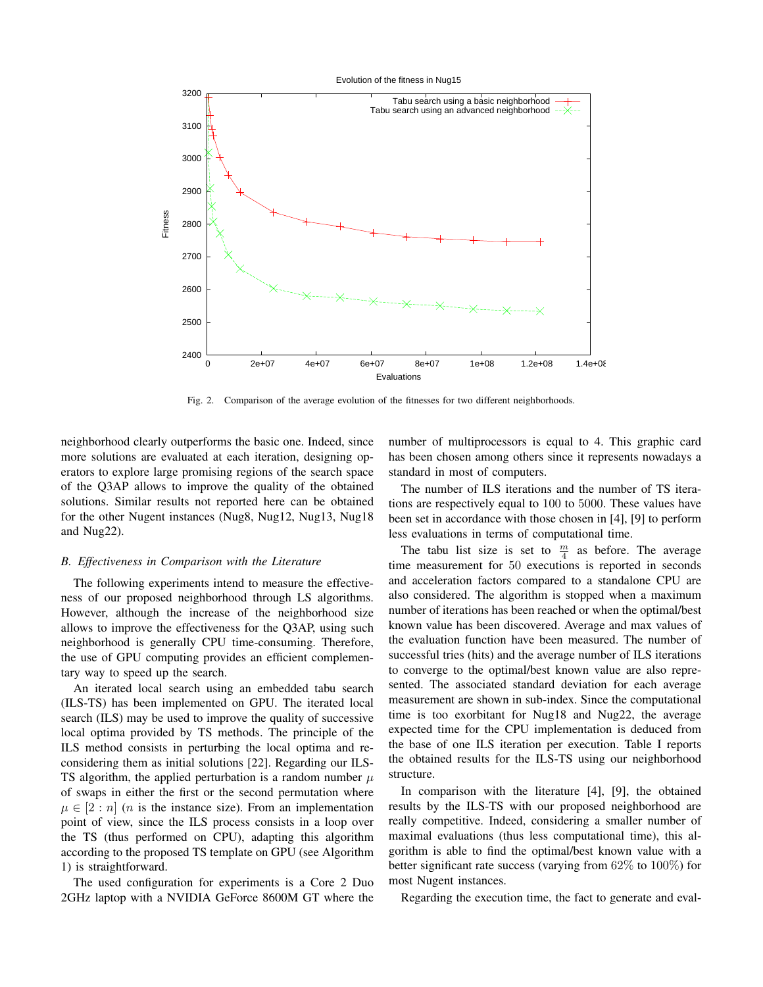

Fig. 2. Comparison of the average evolution of the fitnesses for two different neighborhoods.

neighborhood clearly outperforms the basic one. Indeed, since more solutions are evaluated at each iteration, designing operators to explore large promising regions of the search space of the Q3AP allows to improve the quality of the obtained solutions. Similar results not reported here can be obtained for the other Nugent instances (Nug8, Nug12, Nug13, Nug18 and Nug22).

#### *B. Effectiveness in Comparison with the Literature*

The following experiments intend to measure the effectiveness of our proposed neighborhood through LS algorithms. However, although the increase of the neighborhood size allows to improve the effectiveness for the Q3AP, using such neighborhood is generally CPU time-consuming. Therefore, the use of GPU computing provides an efficient complementary way to speed up the search.

An iterated local search using an embedded tabu search (ILS-TS) has been implemented on GPU. The iterated local search (ILS) may be used to improve the quality of successive local optima provided by TS methods. The principle of the ILS method consists in perturbing the local optima and reconsidering them as initial solutions [22]. Regarding our ILS-TS algorithm, the applied perturbation is a random number  $\mu$ of swaps in either the first or the second permutation where  $\mu \in [2:n]$  (*n* is the instance size). From an implementation point of view, since the ILS process consists in a loop over the TS (thus performed on CPU), adapting this algorithm according to the proposed TS template on GPU (see Algorithm 1) is straightforward.

The used configuration for experiments is a Core 2 Duo 2GHz laptop with a NVIDIA GeForce 8600M GT where the number of multiprocessors is equal to 4. This graphic card has been chosen among others since it represents nowadays a standard in most of computers.

The number of ILS iterations and the number of TS iterations are respectively equal to 100 to 5000. These values have been set in accordance with those chosen in [4], [9] to perform less evaluations in terms of computational time.

The tabu list size is set to  $\frac{m}{4}$  as before. The average time measurement for 50 executions is reported in seconds and acceleration factors compared to a standalone CPU are also considered. The algorithm is stopped when a maximum number of iterations has been reached or when the optimal/best known value has been discovered. Average and max values of the evaluation function have been measured. The number of successful tries (hits) and the average number of ILS iterations to converge to the optimal/best known value are also represented. The associated standard deviation for each average measurement are shown in sub-index. Since the computational time is too exorbitant for Nug18 and Nug22, the average expected time for the CPU implementation is deduced from the base of one ILS iteration per execution. Table I reports the obtained results for the ILS-TS using our neighborhood structure.

In comparison with the literature [4], [9], the obtained results by the ILS-TS with our proposed neighborhood are really competitive. Indeed, considering a smaller number of maximal evaluations (thus less computational time), this algorithm is able to find the optimal/best known value with a better significant rate success (varying from 62% to 100%) for most Nugent instances.

Regarding the execution time, the fact to generate and eval-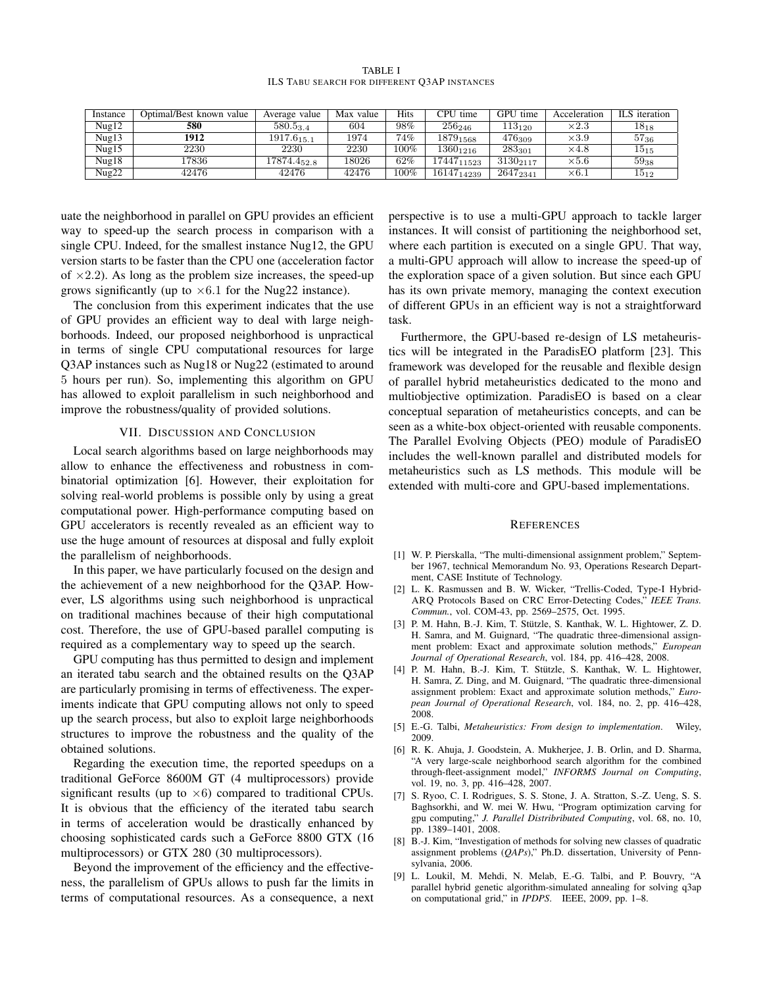| TABLE I |  |  |  |                                                     |  |  |  |  |  |  |  |  |
|---------|--|--|--|-----------------------------------------------------|--|--|--|--|--|--|--|--|
|         |  |  |  | <b>ILS TABU SEARCH FOR DIFFERENT Q3AP INSTANCES</b> |  |  |  |  |  |  |  |  |

| Instance | Optimal/Best known value | Average value           | Max value | Hits    | CPU time               | GPU time           | Acceleration | ILS iteration |
|----------|--------------------------|-------------------------|-----------|---------|------------------------|--------------------|--------------|---------------|
| Nug12    | 580                      | 580.534                 | 604       | 98%     | $256_{246}$            | $113_{120}$        | $\times 2.3$ | $18_{18}$     |
| Nug13    | 1912                     | $1917.6_{15.1}$         | 1974      | 74%     | 1879 <sub>1568</sub>   | 476 <sub>309</sub> | $\times3.9$  | $57_{36}$     |
| Nug15    | 2230                     | 2230                    | 2230      | $100\%$ | $1360_{1216}$          | 283 <sub>301</sub> | $\times4.8$  | $15_{15}$     |
| Nug18    | L7836                    | 17874.4 <sub>52.8</sub> | 18026     | $62\%$  | 17447 <sub>11523</sub> | $3130_{2117}$      | $\times 5.6$ | $59_{38}$     |
| Nug22    | 42476                    | 42476                   | 42476     | 100%    | 16147 <sub>14239</sub> | $2647_{2341}$      | $\times 6.1$ | $15_{12}$     |

uate the neighborhood in parallel on GPU provides an efficient way to speed-up the search process in comparison with a single CPU. Indeed, for the smallest instance Nug12, the GPU version starts to be faster than the CPU one (acceleration factor of  $\times$ 2.2). As long as the problem size increases, the speed-up grows significantly (up to  $\times 6.1$  for the Nug22 instance).

The conclusion from this experiment indicates that the use of GPU provides an efficient way to deal with large neighborhoods. Indeed, our proposed neighborhood is unpractical in terms of single CPU computational resources for large Q3AP instances such as Nug18 or Nug22 (estimated to around 5 hours per run). So, implementing this algorithm on GPU has allowed to exploit parallelism in such neighborhood and improve the robustness/quality of provided solutions.

# VII. DISCUSSION AND CONCLUSION

Local search algorithms based on large neighborhoods may allow to enhance the effectiveness and robustness in combinatorial optimization [6]. However, their exploitation for solving real-world problems is possible only by using a great computational power. High-performance computing based on GPU accelerators is recently revealed as an efficient way to use the huge amount of resources at disposal and fully exploit the parallelism of neighborhoods.

In this paper, we have particularly focused on the design and the achievement of a new neighborhood for the Q3AP. However, LS algorithms using such neighborhood is unpractical on traditional machines because of their high computational cost. Therefore, the use of GPU-based parallel computing is required as a complementary way to speed up the search.

GPU computing has thus permitted to design and implement an iterated tabu search and the obtained results on the Q3AP are particularly promising in terms of effectiveness. The experiments indicate that GPU computing allows not only to speed up the search process, but also to exploit large neighborhoods structures to improve the robustness and the quality of the obtained solutions.

Regarding the execution time, the reported speedups on a traditional GeForce 8600M GT (4 multiprocessors) provide significant results (up to  $\times 6$ ) compared to traditional CPUs. It is obvious that the efficiency of the iterated tabu search in terms of acceleration would be drastically enhanced by choosing sophisticated cards such a GeForce 8800 GTX (16 multiprocessors) or GTX 280 (30 multiprocessors).

Beyond the improvement of the efficiency and the effectiveness, the parallelism of GPUs allows to push far the limits in terms of computational resources. As a consequence, a next perspective is to use a multi-GPU approach to tackle larger instances. It will consist of partitioning the neighborhood set, where each partition is executed on a single GPU. That way, a multi-GPU approach will allow to increase the speed-up of the exploration space of a given solution. But since each GPU has its own private memory, managing the context execution of different GPUs in an efficient way is not a straightforward task.

Furthermore, the GPU-based re-design of LS metaheuristics will be integrated in the ParadisEO platform [23]. This framework was developed for the reusable and flexible design of parallel hybrid metaheuristics dedicated to the mono and multiobjective optimization. ParadisEO is based on a clear conceptual separation of metaheuristics concepts, and can be seen as a white-box object-oriented with reusable components. The Parallel Evolving Objects (PEO) module of ParadisEO includes the well-known parallel and distributed models for metaheuristics such as LS methods. This module will be extended with multi-core and GPU-based implementations.

#### **REFERENCES**

- [1] W. P. Pierskalla, "The multi-dimensional assignment problem," September 1967, technical Memorandum No. 93, Operations Research Department, CASE Institute of Technology.
- [2] L. K. Rasmussen and B. W. Wicker, "Trellis-Coded, Type-I Hybrid-ARQ Protocols Based on CRC Error-Detecting Codes," *IEEE Trans. Commun.*, vol. COM-43, pp. 2569–2575, Oct. 1995.
- [3] P. M. Hahn, B.-J. Kim, T. Stützle, S. Kanthak, W. L. Hightower, Z. D. H. Samra, and M. Guignard, "The quadratic three-dimensional assignment problem: Exact and approximate solution methods," *European Journal of Operational Research*, vol. 184, pp. 416–428, 2008.
- [4] P. M. Hahn, B.-J. Kim, T. Stützle, S. Kanthak, W. L. Hightower, H. Samra, Z. Ding, and M. Guignard, "The quadratic three-dimensional assignment problem: Exact and approximate solution methods," *European Journal of Operational Research*, vol. 184, no. 2, pp. 416–428, 2008.
- [5] E.-G. Talbi, *Metaheuristics: From design to implementation*. Wiley, 2009.
- [6] R. K. Ahuja, J. Goodstein, A. Mukherjee, J. B. Orlin, and D. Sharma, "A very large-scale neighborhood search algorithm for the combined through-fleet-assignment model," *INFORMS Journal on Computing*, vol. 19, no. 3, pp. 416–428, 2007.
- [7] S. Ryoo, C. I. Rodrigues, S. S. Stone, J. A. Stratton, S.-Z. Ueng, S. S. Baghsorkhi, and W. mei W. Hwu, "Program optimization carving for gpu computing," *J. Parallel Distribributed Computing*, vol. 68, no. 10, pp. 1389–1401, 2008.
- [8] B.-J. Kim, "Investigation of methods for solving new classes of quadratic assignment problems (*QAPs*)," Ph.D. dissertation, University of Pennsylvania, 2006.
- [9] L. Loukil, M. Mehdi, N. Melab, E.-G. Talbi, and P. Bouvry, "A parallel hybrid genetic algorithm-simulated annealing for solving q3ap on computational grid," in *IPDPS*. IEEE, 2009, pp. 1–8.